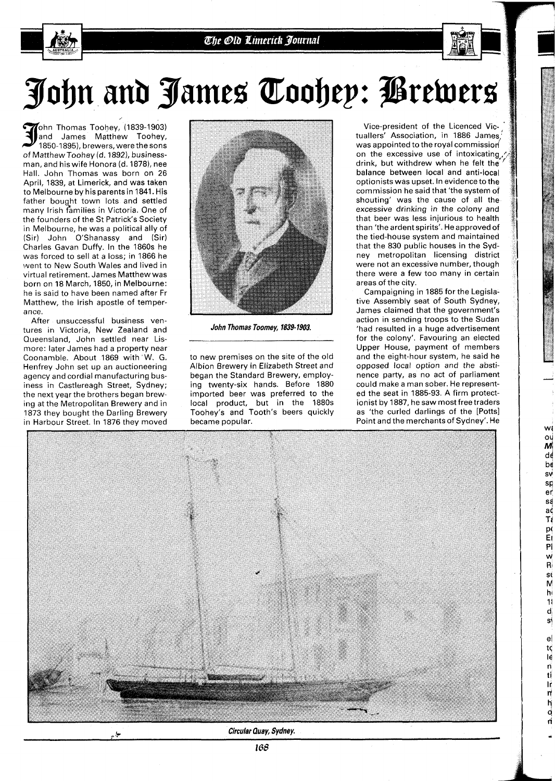## John and James Toohep: *P*rewers

ohn Thomas Toohey, (1839-1903)<br>|and James Matthew Toohey, 1850-1895), brewers, were the sons of Matthew Toohey (d. 1892), businessman, and his wife Honora (d. 1878), nee Hall. John Thomas was born on 26 April, 1839, at Limerick, and was taken to Melbourne by his parents in 1841. His father bought town lots and settled many lrish families in Victoria. One of the founders of the St Patrick's Society in Melbourne, he was a political ally of (Sir) John O'Shanassy and (Sir) Charles Gavan Duffy. In the 1860s he was forced to sell at a loss; in 1866 he went to New South Wales and lived in virtual retirement. James Matthewwas born on 18 March, 1850, in Melbourne: he is said to have been named after Fr Matthew, the lrish apostle of temperance.

After unsuccessful business ventures in Victoria, New Zealand and Queensland, John settled near Lismore: later James had a property near Coonamble. About 1869 with'W. G. Henfrey John set up an auctioneering agency and cordial manufacturing business in Castlereagh Street, Sydney; the next year the brothers began brewing at the Metropolitan Brewery and in 1873 they bought the Darling Brewery in Harbour Street. In 1876 they moved



**John Thomas Toomey, 1839-1903.** 

to new premises on the site of the old Albion Brewery in Elizabeth Street and began the Standard Brewery, employing twenty-six hands. Before 1880 imported beer was preferred to the local product, but in the 1880s Toohey's and Tooth's beers quickly became popular.

Vice-president of the Licenced Victuallers' Association, in 1886 James' was appointed to the royal commission on the excessive use of intoxicating, drink, but withdrew when he felt the balance between local and anti-local optionists was upset. In evidence to the commission he said that 'the system of shouting' was the cause of all the excessive drinking in the colony and that beer was less injurious to health than 'the ardent spirits'. He approved of the tied-house system and maintained that the 830 public houses in the Sydney metropolitan licensing district were not an excessive number, though there were a few too many in certain areas of the city.

Campaigning in 1885 for the Legislative Assembly seat of South Sydney, James claimed that the government's action in sending troops to the Sudan 'had resulted in a huge advertisement for the colony'. Favouring an elected Upper House, payment of members and the eight-hour system, he said he opposed local option and the abstinence party, as no act of parliament could make a man sober. He represented the seat in 1885-93. A firm protectionist by 1887, he saw most free traders as 'the curled darlings of the [Potts] Point and the merchants of Sydney'. He

W. o٢, M dé be **SV** sp er sá а¢ Tį p( E Pi w  $\mathsf{R}$  $\mathbf{s}$ M hi 11 d si  $\mathbf e$ t¢ lé n tí 1ŕ η

ą



L **Circular Quay, Sydney.**